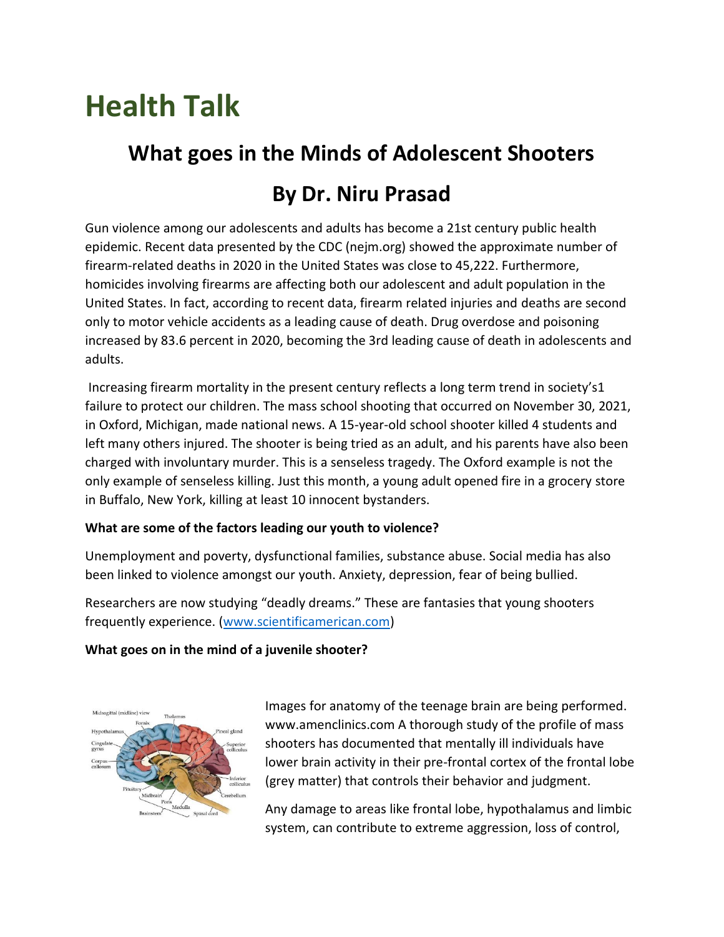# **Health Talk**

# **What goes in the Minds of Adolescent Shooters**

# **By Dr. Niru Prasad**

Gun violence among our adolescents and adults has become a 21st century public health epidemic. Recent data presented by the CDC (nejm.org) showed the approximate number of firearm-related deaths in 2020 in the United States was close to 45,222. Furthermore, homicides involving firearms are affecting both our adolescent and adult population in the United States. In fact, according to recent data, firearm related injuries and deaths are second only to motor vehicle accidents as a leading cause of death. Drug overdose and poisoning increased by 83.6 percent in 2020, becoming the 3rd leading cause of death in adolescents and adults.

Increasing firearm mortality in the present century reflects a long term trend in society's1 failure to protect our children. The mass school shooting that occurred on November 30, 2021, in Oxford, Michigan, made national news. A 15-year-old school shooter killed 4 students and left many others injured. The shooter is being tried as an adult, and his parents have also been charged with involuntary murder. This is a senseless tragedy. The Oxford example is not the only example of senseless killing. Just this month, a young adult opened fire in a grocery store in Buffalo, New York, killing at least 10 innocent bystanders.

### **What are some of the factors leading our youth to violence?**

Unemployment and poverty, dysfunctional families, substance abuse. Social media has also been linked to violence amongst our youth. Anxiety, depression, fear of being bullied.

Researchers are now studying "deadly dreams." These are fantasies that young shooters frequently experience. [\(www.scientificamerican.com\)](http://www.scientificamerican.com/)

### **What goes on in the mind of a juvenile shooter?**



Images for anatomy of the teenage brain are being performed. www.amenclinics.com A thorough study of the profile of mass shooters has documented that mentally ill individuals have lower brain activity in their pre-frontal cortex of the frontal lobe (grey matter) that controls their behavior and judgment.

Any damage to areas like frontal lobe, hypothalamus and limbic system, can contribute to extreme aggression, loss of control,